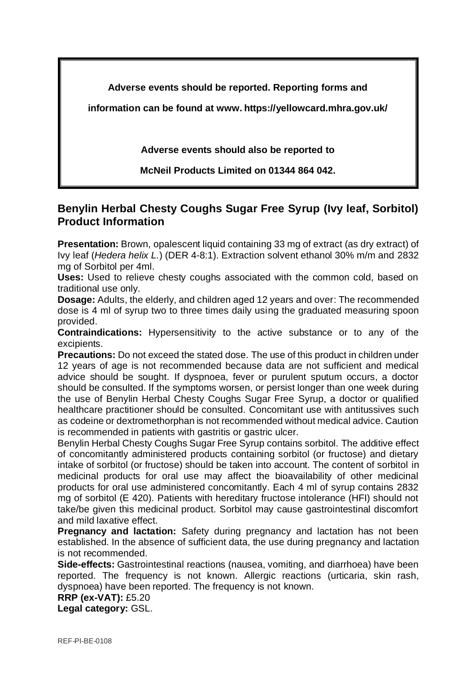**Adverse events should be reported. Reporting forms and** 

**information can be found at www. https://yellowcard.mhra.gov.uk/**

**Adverse events should also be reported to** 

**McNeil Products Limited on 01344 864 042.**

## **Benylin Herbal Chesty Coughs Sugar Free Syrup (Ivy leaf, Sorbitol) Product Information**

**Presentation:** Brown, opalescent liquid containing 33 mg of extract (as dry extract) of Ivy leaf (*Hedera helix L.*) (DER 4-8:1). Extraction solvent ethanol 30% m/m and 2832 mg of Sorbitol per 4ml.

**Uses:** Used to relieve chesty coughs associated with the common cold, based on traditional use only.

**Dosage:** Adults, the elderly, and children aged 12 years and over: The recommended dose is 4 ml of syrup two to three times daily using the graduated measuring spoon provided.

**Contraindications:** Hypersensitivity to the active substance or to any of the excipients.

**Precautions:** Do not exceed the stated dose. The use of this product in children under 12 years of age is not recommended because data are not sufficient and medical advice should be sought. If dyspnoea, fever or purulent sputum occurs, a doctor should be consulted. If the symptoms worsen, or persist longer than one week during the use of Benylin Herbal Chesty Coughs Sugar Free Syrup, a doctor or qualified healthcare practitioner should be consulted. Concomitant use with antitussives such as codeine or dextromethorphan is not recommended without medical advice. Caution is recommended in patients with gastritis or gastric ulcer.

Benylin Herbal Chesty Coughs Sugar Free Syrup contains sorbitol. The additive effect of concomitantly administered products containing sorbitol (or fructose) and dietary intake of sorbitol (or fructose) should be taken into account. The content of sorbitol in medicinal products for oral use may affect the bioavailability of other medicinal products for oral use administered concomitantly. Each 4 ml of syrup contains 2832 mg of sorbitol (E 420). Patients with hereditary fructose intolerance (HFI) should not take/be given this medicinal product. Sorbitol may cause gastrointestinal discomfort and mild laxative effect.

**Pregnancy and lactation:** Safety during pregnancy and lactation has not been established. In the absence of sufficient data, the use during pregnancy and lactation is not recommended.

**Side-effects:** Gastrointestinal reactions (nausea, vomiting, and diarrhoea) have been reported. The frequency is not known. Allergic reactions (urticaria, skin rash, dyspnoea) have been reported. The frequency is not known.

```
RRP (ex-VAT): £5.20 
Legal category: GSL.
```